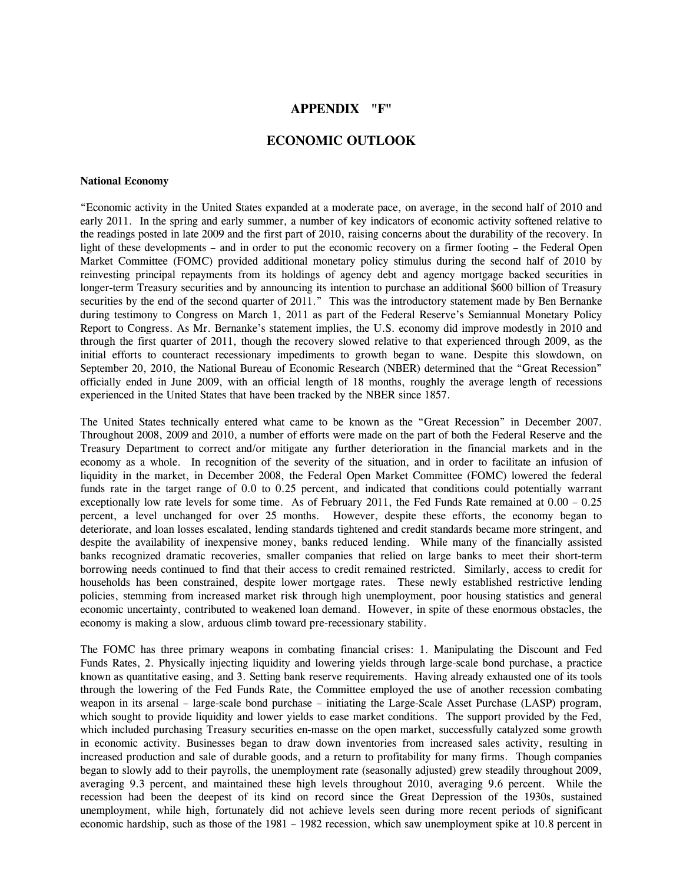# **APPENDIX "F"**

## **ECONOMIC OUTLOOK**

#### **National Economy**

"Economic activity in the United States expanded at a moderate pace, on average, in the second half of 2010 and early 2011. In the spring and early summer, a number of key indicators of economic activity softened relative to the readings posted in late 2009 and the first part of 2010, raising concerns about the durability of the recovery. In light of these developments – and in order to put the economic recovery on a firmer footing – the Federal Open Market Committee (FOMC) provided additional monetary policy stimulus during the second half of 2010 by reinvesting principal repayments from its holdings of agency debt and agency mortgage backed securities in longer-term Treasury securities and by announcing its intention to purchase an additional \$600 billion of Treasury securities by the end of the second quarter of 2011." This was the introductory statement made by Ben Bernanke during testimony to Congress on March 1, 2011 as part of the Federal Reserve's Semiannual Monetary Policy Report to Congress. As Mr. Bernanke's statement implies, the U.S. economy did improve modestly in 2010 and through the first quarter of 2011, though the recovery slowed relative to that experienced through 2009, as the initial efforts to counteract recessionary impediments to growth began to wane. Despite this slowdown, on September 20, 2010, the National Bureau of Economic Research (NBER) determined that the "Great Recession" officially ended in June 2009, with an official length of 18 months, roughly the average length of recessions experienced in the United States that have been tracked by the NBER since 1857.

The United States technically entered what came to be known as the "Great Recession" in December 2007. Throughout 2008, 2009 and 2010, a number of efforts were made on the part of both the Federal Reserve and the Treasury Department to correct and/or mitigate any further deterioration in the financial markets and in the economy as a whole. In recognition of the severity of the situation, and in order to facilitate an infusion of liquidity in the market, in December 2008, the Federal Open Market Committee (FOMC) lowered the federal funds rate in the target range of 0.0 to 0.25 percent, and indicated that conditions could potentially warrant exceptionally low rate levels for some time. As of February 2011, the Fed Funds Rate remained at 0.00 – 0.25 percent, a level unchanged for over 25 months. However, despite these efforts, the economy began to deteriorate, and loan losses escalated, lending standards tightened and credit standards became more stringent, and despite the availability of inexpensive money, banks reduced lending. While many of the financially assisted banks recognized dramatic recoveries, smaller companies that relied on large banks to meet their short-term borrowing needs continued to find that their access to credit remained restricted. Similarly, access to credit for households has been constrained, despite lower mortgage rates. These newly established restrictive lending policies, stemming from increased market risk through high unemployment, poor housing statistics and general economic uncertainty, contributed to weakened loan demand. However, in spite of these enormous obstacles, the economy is making a slow, arduous climb toward pre-recessionary stability.

The FOMC has three primary weapons in combating financial crises: 1. Manipulating the Discount and Fed Funds Rates, 2. Physically injecting liquidity and lowering yields through large-scale bond purchase, a practice known as quantitative easing, and 3. Setting bank reserve requirements. Having already exhausted one of its tools through the lowering of the Fed Funds Rate, the Committee employed the use of another recession combating weapon in its arsenal – large-scale bond purchase – initiating the Large-Scale Asset Purchase (LASP) program, which sought to provide liquidity and lower yields to ease market conditions. The support provided by the Fed, which included purchasing Treasury securities en-masse on the open market, successfully catalyzed some growth in economic activity. Businesses began to draw down inventories from increased sales activity, resulting in increased production and sale of durable goods, and a return to profitability for many firms. Though companies began to slowly add to their payrolls, the unemployment rate (seasonally adjusted) grew steadily throughout 2009, averaging 9.3 percent, and maintained these high levels throughout 2010, averaging 9.6 percent. While the recession had been the deepest of its kind on record since the Great Depression of the 1930s, sustained unemployment, while high, fortunately did not achieve levels seen during more recent periods of significant economic hardship, such as those of the 1981 – 1982 recession, which saw unemployment spike at 10.8 percent in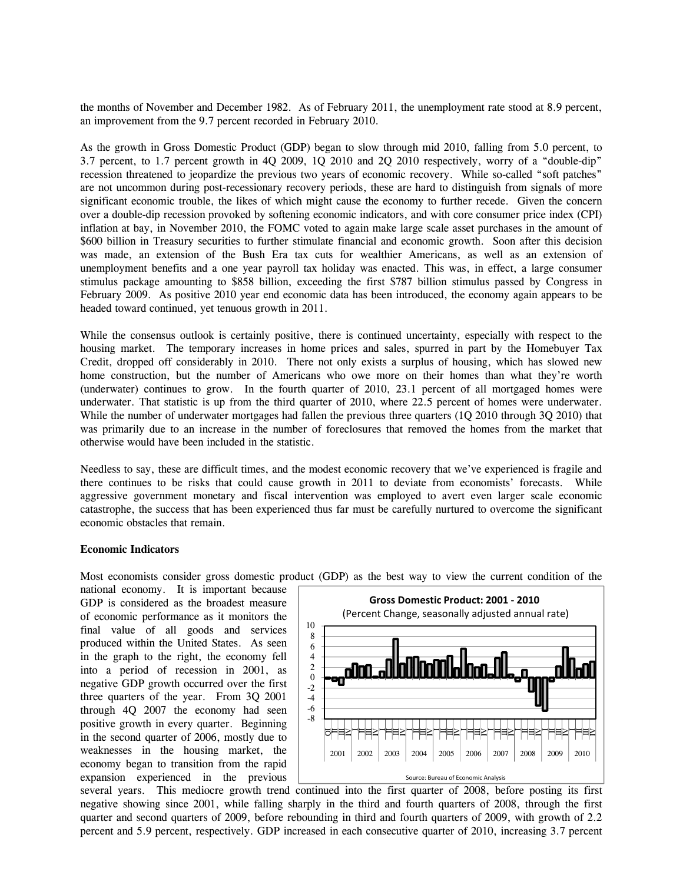the months of November and December 1982. As of February 2011, the unemployment rate stood at 8.9 percent, an improvement from the 9.7 percent recorded in February 2010.

As the growth in Gross Domestic Product (GDP) began to slow through mid 2010, falling from 5.0 percent, to 3.7 percent, to 1.7 percent growth in 4Q 2009, 1Q 2010 and 2Q 2010 respectively, worry of a "double-dip" recession threatened to jeopardize the previous two years of economic recovery. While so-called "soft patches" are not uncommon during post-recessionary recovery periods, these are hard to distinguish from signals of more significant economic trouble, the likes of which might cause the economy to further recede. Given the concern over a double-dip recession provoked by softening economic indicators, and with core consumer price index (CPI) inflation at bay, in November 2010, the FOMC voted to again make large scale asset purchases in the amount of \$600 billion in Treasury securities to further stimulate financial and economic growth. Soon after this decision was made, an extension of the Bush Era tax cuts for wealthier Americans, as well as an extension of unemployment benefits and a one year payroll tax holiday was enacted. This was, in effect, a large consumer stimulus package amounting to \$858 billion, exceeding the first \$787 billion stimulus passed by Congress in February 2009. As positive 2010 year end economic data has been introduced, the economy again appears to be headed toward continued, yet tenuous growth in 2011.

While the consensus outlook is certainly positive, there is continued uncertainty, especially with respect to the housing market. The temporary increases in home prices and sales, spurred in part by the Homebuyer Tax Credit, dropped off considerably in 2010. There not only exists a surplus of housing, which has slowed new home construction, but the number of Americans who owe more on their homes than what they're worth (underwater) continues to grow. In the fourth quarter of 2010, 23.1 percent of all mortgaged homes were underwater. That statistic is up from the third quarter of 2010, where 22.5 percent of homes were underwater. While the number of underwater mortgages had fallen the previous three quarters (1Q 2010 through 3Q 2010) that was primarily due to an increase in the number of foreclosures that removed the homes from the market that otherwise would have been included in the statistic.

Needless to say, these are difficult times, and the modest economic recovery that we've experienced is fragile and there continues to be risks that could cause growth in 2011 to deviate from economists' forecasts. While aggressive government monetary and fiscal intervention was employed to avert even larger scale economic catastrophe, the success that has been experienced thus far must be carefully nurtured to overcome the significant economic obstacles that remain.

### **Economic Indicators**

Most economists consider gross domestic product (GDP) as the best way to view the current condition of the

national economy. It is important because GDP is considered as the broadest measure of economic performance as it monitors the final value of all goods and services produced within the United States. As seen in the graph to the right, the economy fell into a period of recession in 2001, as negative GDP growth occurred over the first three quarters of the year. From 3Q 2001 through 4Q 2007 the economy had seen positive growth in every quarter. Beginning in the second quarter of 2006, mostly due to weaknesses in the housing market, the economy began to transition from the rapid expansion experienced in the previous



several years. This mediocre growth trend continued into the first quarter of 2008, before posting its first negative showing since 2001, while falling sharply in the third and fourth quarters of 2008, through the first quarter and second quarters of 2009, before rebounding in third and fourth quarters of 2009, with growth of 2.2 percent and 5.9 percent, respectively. GDP increased in each consecutive quarter of 2010, increasing 3.7 percent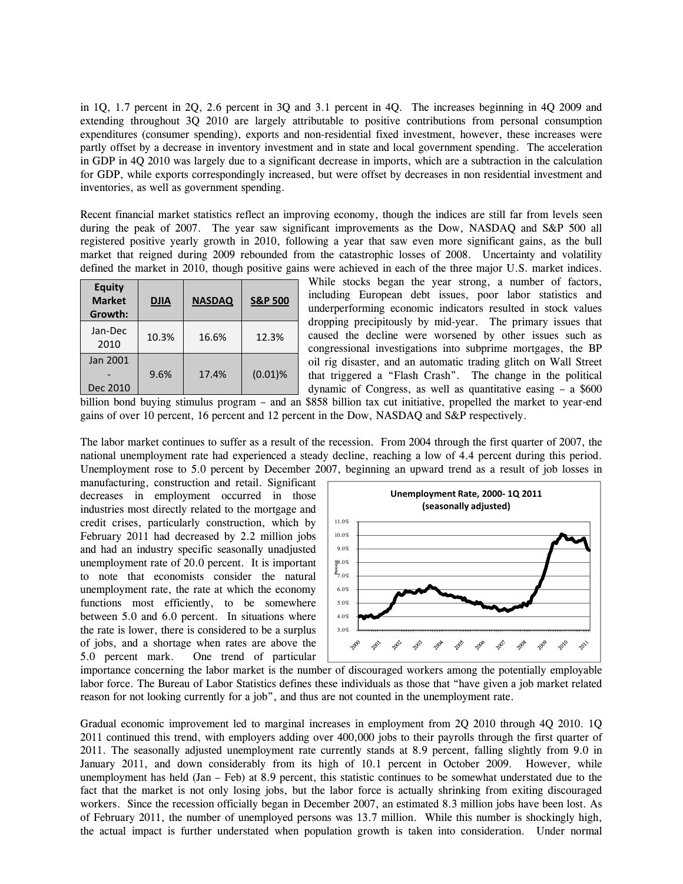in 1Q, 1.7 percent in 2Q, 2.6 percent in 3Q and 3.1 percent in 4Q. The increases beginning in 4Q 2009 and extending throughout 3Q 2010 are largely attributable to positive contributions from personal consumption expenditures (consumer spending), exports and non-residential fixed investment, however, these increases were partly offset by a decrease in inventory investment and in state and local government spending. The acceleration in GDP in 4Q 2010 was largely due to a significant decrease in imports, which are a subtraction in the calculation for GDP, while exports correspondingly increased, but were offset by decreases in non residential investment and inventories, as well as government spending.

Recent financial market statistics reflect an improving economy, though the indices are still far from levels seen during the peak of 2007. The year saw significant improvements as the Dow, NASDAQ and S&P 500 all registered positive yearly growth in 2010, following a year that saw even more significant gains, as the bull market that reigned during 2009 rebounded from the catastrophic losses of 2008. Uncertainty and volatility defined the market in 2010, though positive gains were achieved in each of the three major U.S. market indices.

| <b>Equity</b><br><b>Market</b><br>Growth: | <b>DJIA</b> | <b>NASDAQ</b> | <b>S&amp;P 500</b> |
|-------------------------------------------|-------------|---------------|--------------------|
| Jan-Dec<br>2010                           | 10.3%       | 16.6%         | 12.3%              |
| Jan 2001<br>Dec 2010                      | 9.6%        | 17.4%         | $(0.01)$ %         |

While stocks began the year strong, a number of factors, including European debt issues, poor labor statistics and underperforming economic indicators resulted in stock values dropping precipitously by mid-year. The primary issues that caused the decline were worsened by other issues such as congressional investigations into subprime mortgages, the BP oil rig disaster, and an automatic trading glitch on Wall Street that triggered a "Flash Crash". The change in the political dynamic of Congress, as well as quantitative easing – a \$600

billion bond buying stimulus program – and an \$858 billion tax cut initiative, propelled the market to year-end gains of over 10 percent, 16 percent and 12 percent in the Dow, NASDAQ and S&P respectively.

The labor market continues to suffer as a result of the recession. From 2004 through the first quarter of 2007, the national unemployment rate had experienced a steady decline, reaching a low of 4.4 percent during this period. Unemployment rose to 5.0 percent by December 2007, beginning an upward trend as a result of job losses in

manufacturing, construction and retail. Significant decreases in employment occurred in those industries most directly related to the mortgage and credit crises, particularly construction, which by February 2011 had decreased by 2.2 million jobs and had an industry specific seasonally unadjusted unemployment rate of 20.0 percent. It is important to note that economists consider the natural unemployment rate, the rate at which the economy functions most efficiently, to be somewhere between 5.0 and 6.0 percent. In situations where the rate is lower, there is considered to be a surplus of jobs, and a shortage when rates are above the 5.0 percent mark. One trend of particular



importance concerning the labor market is the number of discouraged workers among the potentially employable labor force. The Bureau of Labor Statistics defines these individuals as those that "have given a job market related reason for not looking currently for a job", and thus are not counted in the unemployment rate.

Gradual economic improvement led to marginal increases in employment from 2Q 2010 through 4Q 2010. 1Q 2011 continued this trend, with employers adding over 400,000 jobs to their payrolls through the first quarter of 2011. The seasonally adjusted unemployment rate currently stands at 8.9 percent, falling slightly from 9.0 in January 2011, and down considerably from its high of 10.1 percent in October 2009. However, while unemployment has held (Jan – Feb) at 8.9 percent, this statistic continues to be somewhat understated due to the fact that the market is not only losing jobs, but the labor force is actually shrinking from exiting discouraged workers. Since the recession officially began in December 2007, an estimated 8.3 million jobs have been lost. As of February 2011, the number of unemployed persons was 13.7 million. While this number is shockingly high, the actual impact is further understated when population growth is taken into consideration. Under normal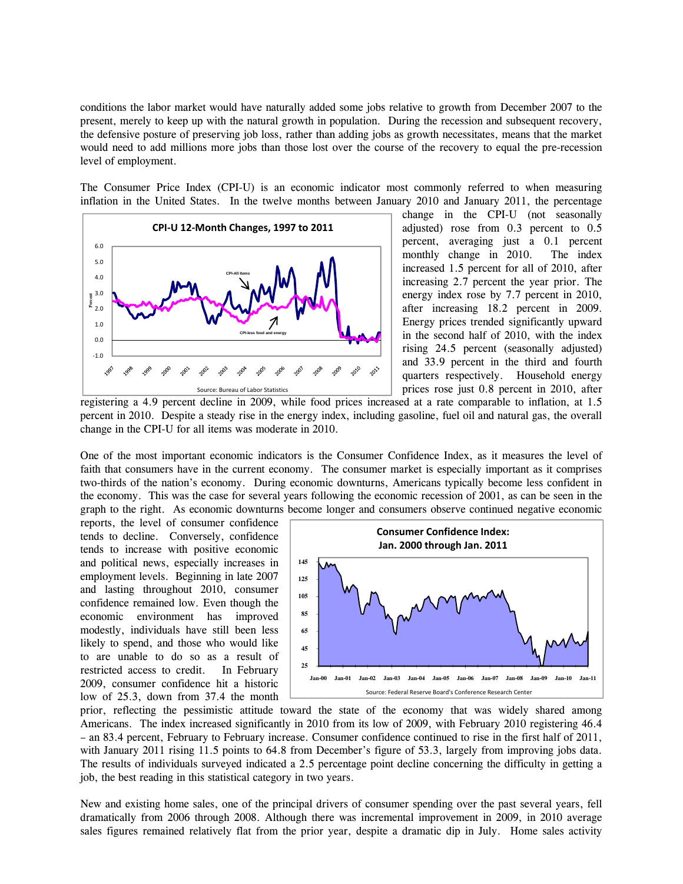conditions the labor market would have naturally added some jobs relative to growth from December 2007 to the present, merely to keep up with the natural growth in population. During the recession and subsequent recovery, the defensive posture of preserving job loss, rather than adding jobs as growth necessitates, means that the market would need to add millions more jobs than those lost over the course of the recovery to equal the pre-recession level of employment.

The Consumer Price Index (CPI-U) is an economic indicator most commonly referred to when measuring inflation in the United States. In the twelve months between January 2010 and January 2011, the percentage



change in the CPI-U (not seasonally adjusted) rose from 0.3 percent to 0.5 percent, averaging just a 0.1 percent monthly change in 2010. The index increased 1.5 percent for all of 2010, after increasing 2.7 percent the year prior. The energy index rose by 7.7 percent in 2010, after increasing 18.2 percent in 2009. Energy prices trended significantly upward in the second half of 2010, with the index rising 24.5 percent (seasonally adjusted) and 33.9 percent in the third and fourth quarters respectively. Household energy prices rose just 0.8 percent in 2010, after

registering a 4.9 percent decline in 2009, while food prices increased at a rate comparable to inflation, at 1.5 percent in 2010. Despite a steady rise in the energy index, including gasoline, fuel oil and natural gas, the overall change in the CPI-U for all items was moderate in 2010.

One of the most important economic indicators is the Consumer Confidence Index, as it measures the level of faith that consumers have in the current economy. The consumer market is especially important as it comprises two-thirds of the nation's economy. During economic downturns, Americans typically become less confident in the economy. This was the case for several years following the economic recession of 2001, as can be seen in the graph to the right. As economic downturns become longer and consumers observe continued negative economic

reports, the level of consumer confidence tends to decline. Conversely, confidence tends to increase with positive economic and political news, especially increases in employment levels. Beginning in late 2007 and lasting throughout 2010, consumer confidence remained low. Even though the economic environment has improved modestly, individuals have still been less likely to spend, and those who would like to are unable to do so as a result of restricted access to credit. In February 2009, consumer confidence hit a historic low of 25.3, down from 37.4 the month



prior, reflecting the pessimistic attitude toward the state of the economy that was widely shared among Americans. The index increased significantly in 2010 from its low of 2009, with February 2010 registering 46.4 – an 83.4 percent, February to February increase. Consumer confidence continued to rise in the first half of 2011, with January 2011 rising 11.5 points to 64.8 from December's figure of 53.3, largely from improving jobs data. The results of individuals surveyed indicated a 2.5 percentage point decline concerning the difficulty in getting a job, the best reading in this statistical category in two years.

New and existing home sales, one of the principal drivers of consumer spending over the past several years, fell dramatically from 2006 through 2008. Although there was incremental improvement in 2009, in 2010 average sales figures remained relatively flat from the prior year, despite a dramatic dip in July. Home sales activity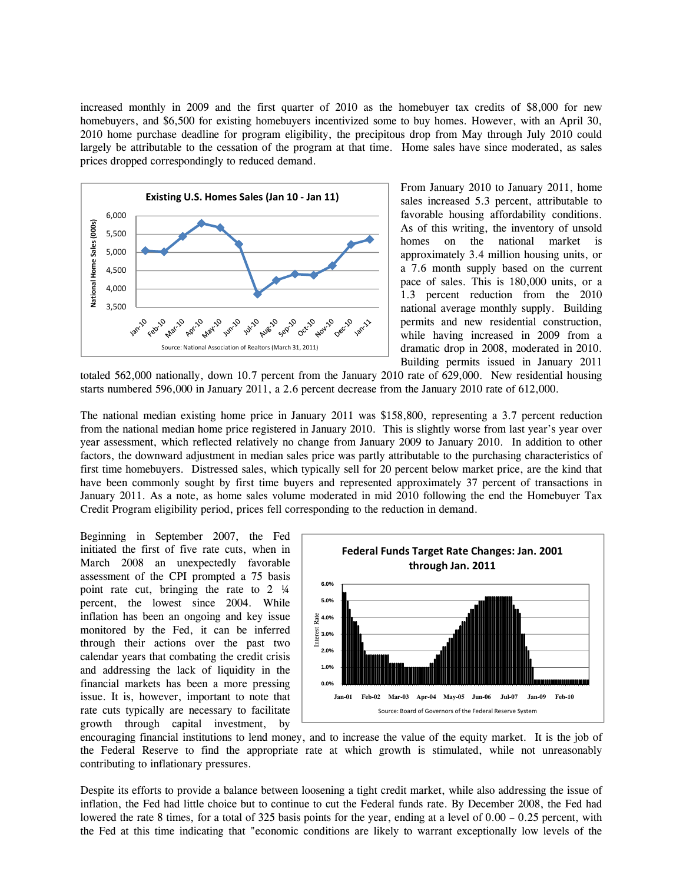increased monthly in 2009 and the first quarter of 2010 as the homebuyer tax credits of \$8,000 for new homebuyers, and \$6,500 for existing homebuyers incentivized some to buy homes. However, with an April 30, 2010 home purchase deadline for program eligibility, the precipitous drop from May through July 2010 could largely be attributable to the cessation of the program at that time. Home sales have since moderated, as sales prices dropped correspondingly to reduced demand.



From January 2010 to January 2011, home sales increased 5.3 percent, attributable to favorable housing affordability conditions. As of this writing, the inventory of unsold homes on the national market is approximately 3.4 million housing units, or a 7.6 month supply based on the current pace of sales. This is 180,000 units, or a 1.3 percent reduction from the 2010 national average monthly supply. Building permits and new residential construction, while having increased in 2009 from a dramatic drop in 2008, moderated in 2010. Building permits issued in January 2011

totaled 562,000 nationally, down 10.7 percent from the January 2010 rate of 629,000. New residential housing starts numbered 596,000 in January 2011, a 2.6 percent decrease from the January 2010 rate of 612,000.

The national median existing home price in January 2011 was \$158,800, representing a 3.7 percent reduction from the national median home price registered in January 2010. This is slightly worse from last year's year over year assessment, which reflected relatively no change from January 2009 to January 2010. In addition to other factors, the downward adjustment in median sales price was partly attributable to the purchasing characteristics of first time homebuyers. Distressed sales, which typically sell for 20 percent below market price, are the kind that have been commonly sought by first time buyers and represented approximately 37 percent of transactions in January 2011. As a note, as home sales volume moderated in mid 2010 following the end the Homebuyer Tax Credit Program eligibility period, prices fell corresponding to the reduction in demand.

Beginning in September 2007, the Fed initiated the first of five rate cuts, when in March 2008 an unexpectedly favorable assessment of the CPI prompted a 75 basis point rate cut, bringing the rate to 2 ¼ percent, the lowest since 2004. While inflation has been an ongoing and key issue monitored by the Fed, it can be inferred through their actions over the past two calendar years that combating the credit crisis and addressing the lack of liquidity in the financial markets has been a more pressing issue. It is, however, important to note that rate cuts typically are necessary to facilitate growth through capital investment, by



encouraging financial institutions to lend money, and to increase the value of the equity market. It is the job of the Federal Reserve to find the appropriate rate at which growth is stimulated, while not unreasonably contributing to inflationary pressures.

Despite its efforts to provide a balance between loosening a tight credit market, while also addressing the issue of inflation, the Fed had little choice but to continue to cut the Federal funds rate. By December 2008, the Fed had lowered the rate 8 times, for a total of 325 basis points for the year, ending at a level of  $0.00 - 0.25$  percent, with the Fed at this time indicating that "economic conditions are likely to warrant exceptionally low levels of the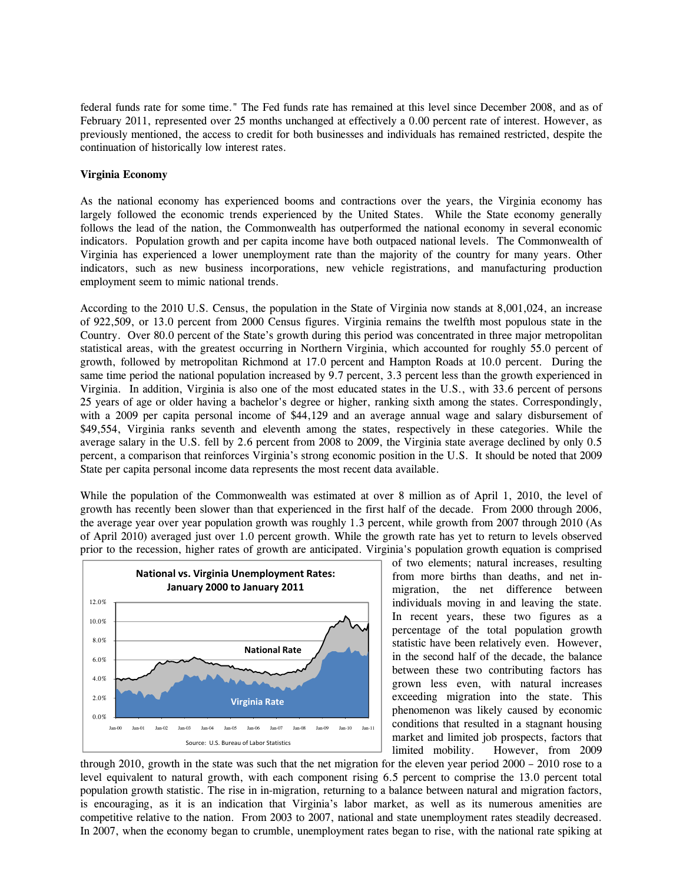federal funds rate for some time." The Fed funds rate has remained at this level since December 2008, and as of February 2011, represented over 25 months unchanged at effectively a 0.00 percent rate of interest. However, as previously mentioned, the access to credit for both businesses and individuals has remained restricted, despite the continuation of historically low interest rates.

### **Virginia Economy**

As the national economy has experienced booms and contractions over the years, the Virginia economy has largely followed the economic trends experienced by the United States. While the State economy generally follows the lead of the nation, the Commonwealth has outperformed the national economy in several economic indicators. Population growth and per capita income have both outpaced national levels. The Commonwealth of Virginia has experienced a lower unemployment rate than the majority of the country for many years. Other indicators, such as new business incorporations, new vehicle registrations, and manufacturing production employment seem to mimic national trends.

According to the 2010 U.S. Census, the population in the State of Virginia now stands at 8,001,024, an increase of 922,509, or 13.0 percent from 2000 Census figures. Virginia remains the twelfth most populous state in the Country. Over 80.0 percent of the State's growth during this period was concentrated in three major metropolitan statistical areas, with the greatest occurring in Northern Virginia, which accounted for roughly 55.0 percent of growth, followed by metropolitan Richmond at 17.0 percent and Hampton Roads at 10.0 percent. During the same time period the national population increased by 9.7 percent, 3.3 percent less than the growth experienced in Virginia. In addition, Virginia is also one of the most educated states in the U.S., with 33.6 percent of persons 25 years of age or older having a bachelor's degree or higher, ranking sixth among the states. Correspondingly, with a 2009 per capita personal income of \$44,129 and an average annual wage and salary disbursement of \$49,554, Virginia ranks seventh and eleventh among the states, respectively in these categories. While the average salary in the U.S. fell by 2.6 percent from 2008 to 2009, the Virginia state average declined by only 0.5 percent, a comparison that reinforces Virginia's strong economic position in the U.S. It should be noted that 2009 State per capita personal income data represents the most recent data available.

While the population of the Commonwealth was estimated at over 8 million as of April 1, 2010, the level of growth has recently been slower than that experienced in the first half of the decade. From 2000 through 2006, the average year over year population growth was roughly 1.3 percent, while growth from 2007 through 2010 (As of April 2010) averaged just over 1.0 percent growth. While the growth rate has yet to return to levels observed prior to the recession, higher rates of growth are anticipated. Virginia's population growth equation is comprised



of two elements; natural increases, resulting from more births than deaths, and net inmigration, the net difference between individuals moving in and leaving the state. In recent years, these two figures as a percentage of the total population growth statistic have been relatively even. However, in the second half of the decade, the balance between these two contributing factors has grown less even, with natural increases exceeding migration into the state. This phenomenon was likely caused by economic conditions that resulted in a stagnant housing market and limited job prospects, factors that limited mobility. However, from 2009

through 2010, growth in the state was such that the net migration for the eleven year period 2000 – 2010 rose to a level equivalent to natural growth, with each component rising 6.5 percent to comprise the 13.0 percent total population growth statistic. The rise in in-migration, returning to a balance between natural and migration factors, is encouraging, as it is an indication that Virginia's labor market, as well as its numerous amenities are competitive relative to the nation. From 2003 to 2007, national and state unemployment rates steadily decreased. In 2007, when the economy began to crumble, unemployment rates began to rise, with the national rate spiking at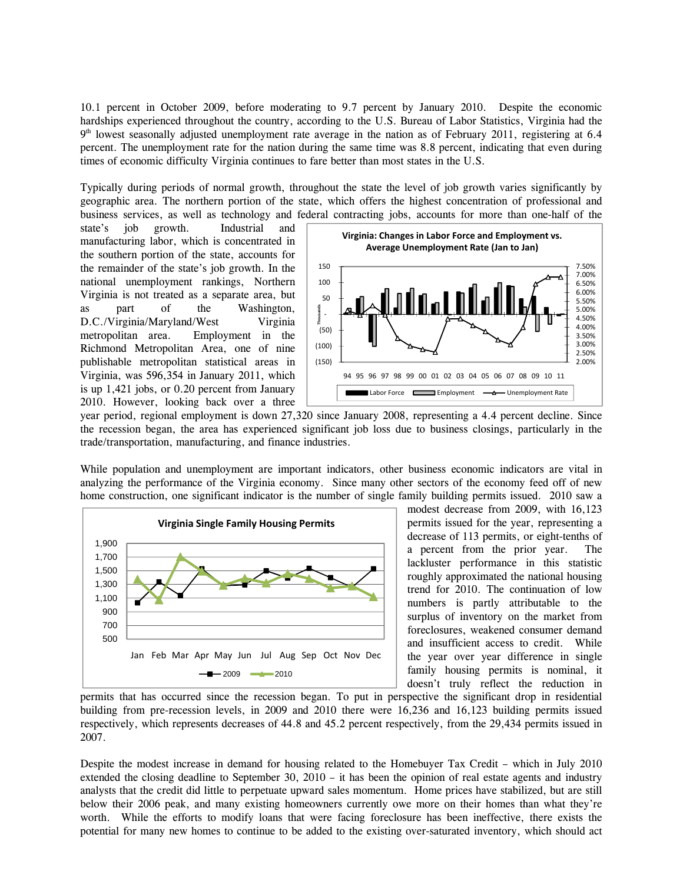10.1 percent in October 2009, before moderating to 9.7 percent by January 2010. Despite the economic hardships experienced throughout the country, according to the U.S. Bureau of Labor Statistics, Virginia had the  $9<sup>th</sup>$  lowest seasonally adjusted unemployment rate average in the nation as of February 2011, registering at 6.4 percent. The unemployment rate for the nation during the same time was 8.8 percent, indicating that even during times of economic difficulty Virginia continues to fare better than most states in the U.S.

Typically during periods of normal growth, throughout the state the level of job growth varies significantly by geographic area. The northern portion of the state, which offers the highest concentration of professional and business services, as well as technology and federal contracting jobs, accounts for more than one-half of the

state's job growth. Industrial and manufacturing labor, which is concentrated in the southern portion of the state, accounts for the remainder of the state's job growth. In the national unemployment rankings, Northern Virginia is not treated as a separate area, but as part of the Washington, D.C./Virginia/Maryland/West Virginia metropolitan area. Employment in the Richmond Metropolitan Area, one of nine publishable metropolitan statistical areas in Virginia, was 596,354 in January 2011, which is up 1,421 jobs, or 0.20 percent from January 2010. However, looking back over a three



year period, regional employment is down 27,320 since January 2008, representing a 4.4 percent decline. Since the recession began, the area has experienced significant job loss due to business closings, particularly in the trade/transportation, manufacturing, and finance industries.

While population and unemployment are important indicators, other business economic indicators are vital in analyzing the performance of the Virginia economy. Since many other sectors of the economy feed off of new home construction, one significant indicator is the number of single family building permits issued. 2010 saw a



modest decrease from 2009, with 16,123 permits issued for the year, representing a decrease of 113 permits, or eight-tenths of a percent from the prior year. The lackluster performance in this statistic roughly approximated the national housing trend for 2010. The continuation of low numbers is partly attributable to the surplus of inventory on the market from foreclosures, weakened consumer demand and insufficient access to credit. While the year over year difference in single family housing permits is nominal, it doesn't truly reflect the reduction in

permits that has occurred since the recession began. To put in perspective the significant drop in residential building from pre-recession levels, in 2009 and 2010 there were 16,236 and 16,123 building permits issued respectively, which represents decreases of 44.8 and 45.2 percent respectively, from the 29,434 permits issued in 2007.

Despite the modest increase in demand for housing related to the Homebuyer Tax Credit – which in July 2010 extended the closing deadline to September 30, 2010 – it has been the opinion of real estate agents and industry analysts that the credit did little to perpetuate upward sales momentum. Home prices have stabilized, but are still below their 2006 peak, and many existing homeowners currently owe more on their homes than what they're worth. While the efforts to modify loans that were facing foreclosure has been ineffective, there exists the potential for many new homes to continue to be added to the existing over-saturated inventory, which should act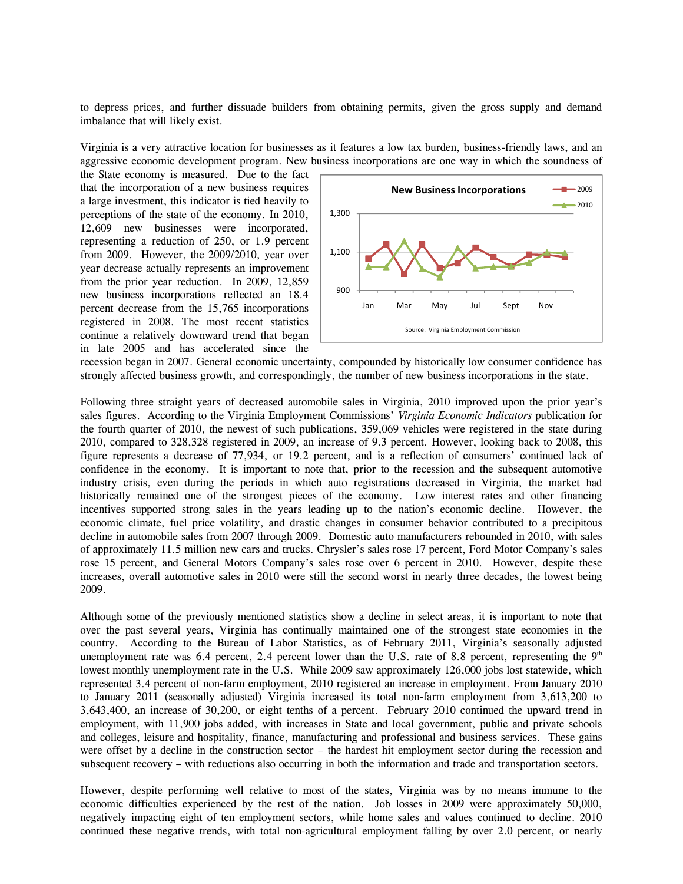to depress prices, and further dissuade builders from obtaining permits, given the gross supply and demand imbalance that will likely exist.

Virginia is a very attractive location for businesses as it features a low tax burden, business-friendly laws, and an aggressive economic development program. New business incorporations are one way in which the soundness of

the State economy is measured. Due to the fact that the incorporation of a new business requires a large investment, this indicator is tied heavily to perceptions of the state of the economy. In 2010, 12,609 new businesses were incorporated, representing a reduction of 250, or 1.9 percent from 2009. However, the 2009/2010, year over year decrease actually represents an improvement from the prior year reduction. In 2009, 12,859 new business incorporations reflected an 18.4 percent decrease from the 15,765 incorporations registered in 2008. The most recent statistics continue a relatively downward trend that began in late 2005 and has accelerated since the



recession began in 2007. General economic uncertainty, compounded by historically low consumer confidence has strongly affected business growth, and correspondingly, the number of new business incorporations in the state.

Following three straight years of decreased automobile sales in Virginia, 2010 improved upon the prior year's sales figures. According to the Virginia Employment Commissions' *Virginia Economic Indicators* publication for the fourth quarter of 2010, the newest of such publications, 359,069 vehicles were registered in the state during 2010, compared to 328,328 registered in 2009, an increase of 9.3 percent. However, looking back to 2008, this figure represents a decrease of 77,934, or 19.2 percent, and is a reflection of consumers' continued lack of confidence in the economy. It is important to note that, prior to the recession and the subsequent automotive industry crisis, even during the periods in which auto registrations decreased in Virginia, the market had historically remained one of the strongest pieces of the economy. Low interest rates and other financing incentives supported strong sales in the years leading up to the nation's economic decline. However, the economic climate, fuel price volatility, and drastic changes in consumer behavior contributed to a precipitous decline in automobile sales from 2007 through 2009. Domestic auto manufacturers rebounded in 2010, with sales of approximately 11.5 million new cars and trucks. Chrysler's sales rose 17 percent, Ford Motor Company's sales rose 15 percent, and General Motors Company's sales rose over 6 percent in 2010. However, despite these increases, overall automotive sales in 2010 were still the second worst in nearly three decades, the lowest being 2009.

Although some of the previously mentioned statistics show a decline in select areas, it is important to note that over the past several years, Virginia has continually maintained one of the strongest state economies in the country. According to the Bureau of Labor Statistics, as of February 2011, Virginia's seasonally adjusted unemployment rate was 6.4 percent, 2.4 percent lower than the U.S. rate of 8.8 percent, representing the  $9<sup>th</sup>$ lowest monthly unemployment rate in the U.S. While 2009 saw approximately 126,000 jobs lost statewide, which represented 3.4 percent of non-farm employment, 2010 registered an increase in employment. From January 2010 to January 2011 (seasonally adjusted) Virginia increased its total non-farm employment from 3,613,200 to 3,643,400, an increase of 30,200, or eight tenths of a percent. February 2010 continued the upward trend in employment, with 11,900 jobs added, with increases in State and local government, public and private schools and colleges, leisure and hospitality, finance, manufacturing and professional and business services. These gains were offset by a decline in the construction sector – the hardest hit employment sector during the recession and subsequent recovery – with reductions also occurring in both the information and trade and transportation sectors.

However, despite performing well relative to most of the states, Virginia was by no means immune to the economic difficulties experienced by the rest of the nation. Job losses in 2009 were approximately 50,000, negatively impacting eight of ten employment sectors, while home sales and values continued to decline. 2010 continued these negative trends, with total non-agricultural employment falling by over 2.0 percent, or nearly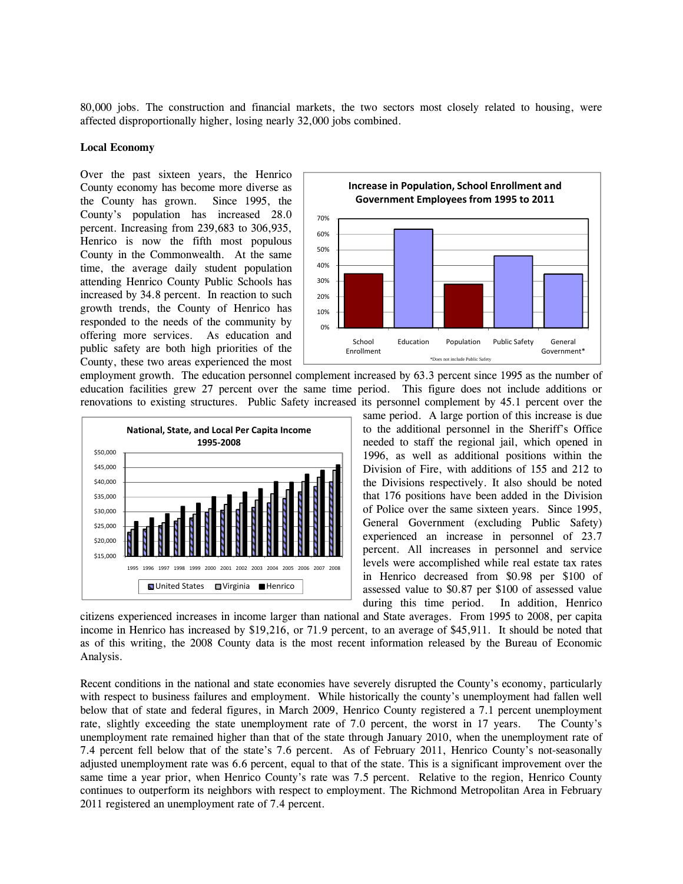80,000 jobs. The construction and financial markets, the two sectors most closely related to housing, were affected disproportionally higher, losing nearly 32,000 jobs combined.

### **Local Economy**

Over the past sixteen years, the Henrico County economy has become more diverse as the County has grown. Since 1995, the County's population has increased 28.0 percent. Increasing from 239,683 to 306,935, Henrico is now the fifth most populous County in the Commonwealth. At the same time, the average daily student population attending Henrico County Public Schools has increased by 34.8 percent. In reaction to such growth trends, the County of Henrico has responded to the needs of the community by offering more services. As education and public safety are both high priorities of the County, these two areas experienced the most



employment growth. The education personnel complement increased by 63.3 percent since 1995 as the number of education facilities grew 27 percent over the same time period. This figure does not include additions or renovations to existing structures. Public Safety increased its personnel complement by 45.1 percent over the



same period. A large portion of this increase is due to the additional personnel in the Sheriff's Office needed to staff the regional jail, which opened in 1996, as well as additional positions within the Division of Fire, with additions of 155 and 212 to the Divisions respectively. It also should be noted that 176 positions have been added in the Division of Police over the same sixteen years. Since 1995, General Government (excluding Public Safety) experienced an increase in personnel of 23.7 percent. All increases in personnel and service levels were accomplished while real estate tax rates in Henrico decreased from \$0.98 per \$100 of assessed value to \$0.87 per \$100 of assessed value during this time period. In addition, Henrico

citizens experienced increases in income larger than national and State averages. From 1995 to 2008, per capita income in Henrico has increased by \$19,216, or 71.9 percent, to an average of \$45,911. It should be noted that as of this writing, the 2008 County data is the most recent information released by the Bureau of Economic Analysis.

Recent conditions in the national and state economies have severely disrupted the County's economy, particularly with respect to business failures and employment. While historically the county's unemployment had fallen well below that of state and federal figures, in March 2009, Henrico County registered a 7.1 percent unemployment rate, slightly exceeding the state unemployment rate of 7.0 percent, the worst in 17 years. The County's unemployment rate remained higher than that of the state through January 2010, when the unemployment rate of 7.4 percent fell below that of the state's 7.6 percent. As of February 2011, Henrico County's not-seasonally adjusted unemployment rate was 6.6 percent, equal to that of the state. This is a significant improvement over the same time a year prior, when Henrico County's rate was 7.5 percent. Relative to the region, Henrico County continues to outperform its neighbors with respect to employment. The Richmond Metropolitan Area in February 2011 registered an unemployment rate of 7.4 percent.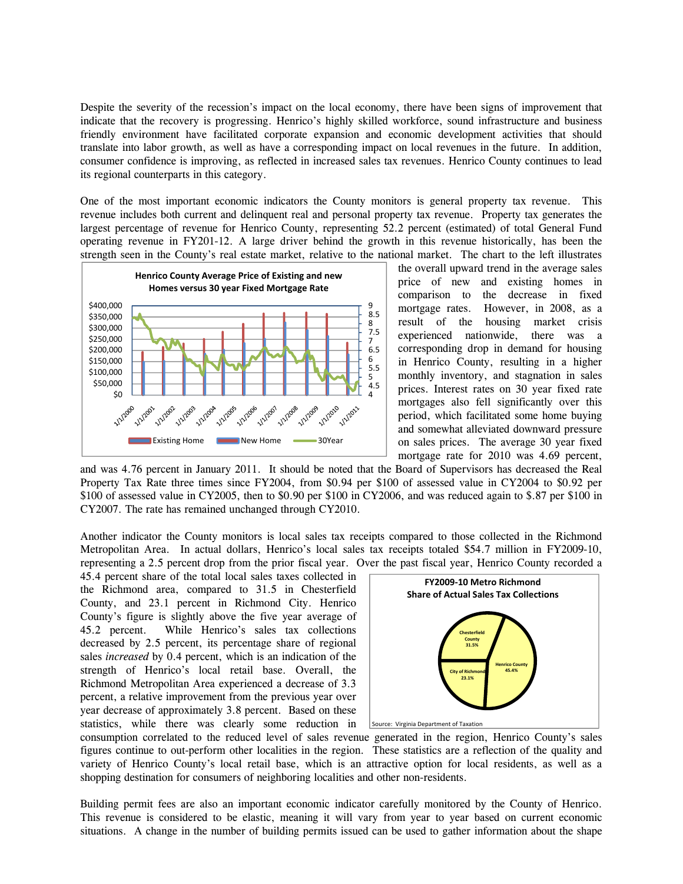Despite the severity of the recession's impact on the local economy, there have been signs of improvement that indicate that the recovery is progressing. Henrico's highly skilled workforce, sound infrastructure and business friendly environment have facilitated corporate expansion and economic development activities that should translate into labor growth, as well as have a corresponding impact on local revenues in the future. In addition, consumer confidence is improving, as reflected in increased sales tax revenues. Henrico County continues to lead its regional counterparts in this category.

One of the most important economic indicators the County monitors is general property tax revenue. This revenue includes both current and delinquent real and personal property tax revenue. Property tax generates the largest percentage of revenue for Henrico County, representing 52.2 percent (estimated) of total General Fund operating revenue in FY201-12. A large driver behind the growth in this revenue historically, has been the strength seen in the County's real estate market, relative to the national market. The chart to the left illustrates



the overall upward trend in the average sales price of new and existing homes in comparison to the decrease in fixed mortgage rates. However, in 2008, as a result of the housing market crisis experienced nationwide, there was a corresponding drop in demand for housing in Henrico County, resulting in a higher monthly inventory, and stagnation in sales prices. Interest rates on 30 year fixed rate mortgages also fell significantly over this period, which facilitated some home buying and somewhat alleviated downward pressure on sales prices. The average 30 year fixed mortgage rate for 2010 was 4.69 percent,

and was 4.76 percent in January 2011. It should be noted that the Board of Supervisors has decreased the Real Property Tax Rate three times since FY2004, from \$0.94 per \$100 of assessed value in CY2004 to \$0.92 per \$100 of assessed value in CY2005, then to \$0.90 per \$100 in CY2006, and was reduced again to \$.87 per \$100 in CY2007. The rate has remained unchanged through CY2010.

Another indicator the County monitors is local sales tax receipts compared to those collected in the Richmond Metropolitan Area. In actual dollars, Henrico's local sales tax receipts totaled \$54.7 million in FY2009-10, representing a 2.5 percent drop from the prior fiscal year. Over the past fiscal year, Henrico County recorded a

45.4 percent share of the total local sales taxes collected in the Richmond area, compared to 31.5 in Chesterfield County, and 23.1 percent in Richmond City. Henrico County's figure is slightly above the five year average of 45.2 percent. While Henrico's sales tax collections decreased by 2.5 percent, its percentage share of regional sales *increased* by 0.4 percent, which is an indication of the strength of Henrico's local retail base. Overall, the Richmond Metropolitan Area experienced a decrease of 3.3 percent, a relative improvement from the previous year over year decrease of approximately 3.8 percent. Based on these statistics, while there was clearly some reduction in *Source: Virginia Department of Taxation* 



consumption correlated to the reduced level of sales revenue generated in the region, Henrico County's sales figures continue to out-perform other localities in the region. These statistics are a reflection of the quality and variety of Henrico County's local retail base, which is an attractive option for local residents, as well as a shopping destination for consumers of neighboring localities and other non-residents.

Building permit fees are also an important economic indicator carefully monitored by the County of Henrico. This revenue is considered to be elastic, meaning it will vary from year to year based on current economic situations. A change in the number of building permits issued can be used to gather information about the shape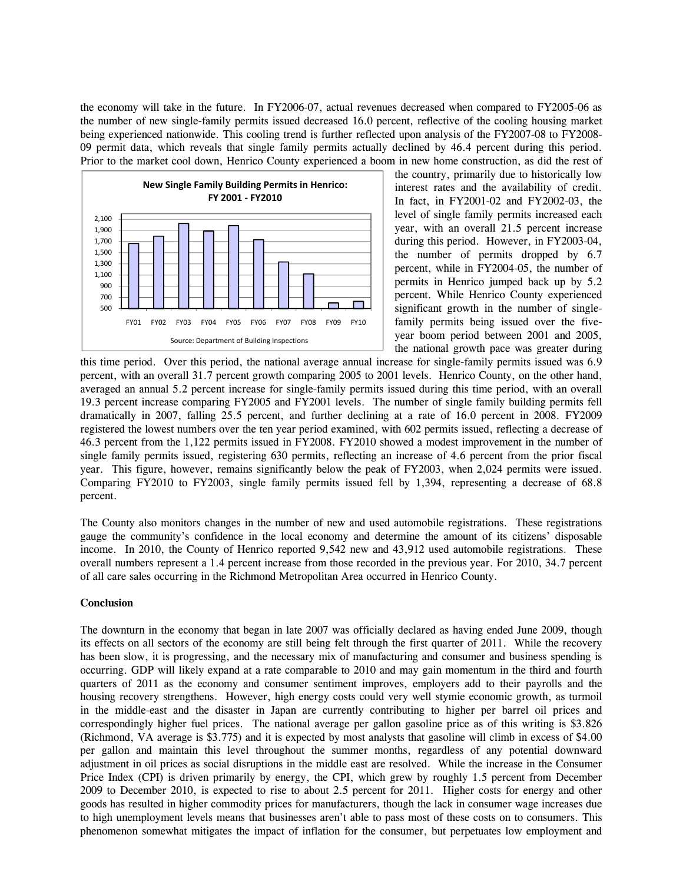the economy will take in the future. In FY2006-07, actual revenues decreased when compared to FY2005-06 as the number of new single-family permits issued decreased 16.0 percent, reflective of the cooling housing market being experienced nationwide. This cooling trend is further reflected upon analysis of the FY2007-08 to FY2008- 09 permit data, which reveals that single family permits actually declined by 46.4 percent during this period. Prior to the market cool down, Henrico County experienced a boom in new home construction, as did the rest of



the country, primarily due to historically low interest rates and the availability of credit. In fact, in FY2001-02 and FY2002-03, the level of single family permits increased each year, with an overall 21.5 percent increase during this period. However, in FY2003-04, the number of permits dropped by 6.7 percent, while in FY2004-05, the number of permits in Henrico jumped back up by 5.2 percent. While Henrico County experienced significant growth in the number of singlefamily permits being issued over the fiveyear boom period between 2001 and 2005, the national growth pace was greater during

this time period. Over this period, the national average annual increase for single-family permits issued was 6.9 percent, with an overall 31.7 percent growth comparing 2005 to 2001 levels. Henrico County, on the other hand, averaged an annual 5.2 percent increase for single-family permits issued during this time period, with an overall 19.3 percent increase comparing FY2005 and FY2001 levels. The number of single family building permits fell dramatically in 2007, falling 25.5 percent, and further declining at a rate of 16.0 percent in 2008. FY2009 registered the lowest numbers over the ten year period examined, with 602 permits issued, reflecting a decrease of 46.3 percent from the 1,122 permits issued in FY2008. FY2010 showed a modest improvement in the number of single family permits issued, registering 630 permits, reflecting an increase of 4.6 percent from the prior fiscal year. This figure, however, remains significantly below the peak of FY2003, when 2,024 permits were issued. Comparing FY2010 to FY2003, single family permits issued fell by 1,394, representing a decrease of 68.8 percent.

The County also monitors changes in the number of new and used automobile registrations. These registrations gauge the community's confidence in the local economy and determine the amount of its citizens' disposable income. In 2010, the County of Henrico reported 9,542 new and 43,912 used automobile registrations. These overall numbers represent a 1.4 percent increase from those recorded in the previous year. For 2010, 34.7 percent of all care sales occurring in the Richmond Metropolitan Area occurred in Henrico County.

#### **Conclusion**

The downturn in the economy that began in late 2007 was officially declared as having ended June 2009, though its effects on all sectors of the economy are still being felt through the first quarter of 2011. While the recovery has been slow, it is progressing, and the necessary mix of manufacturing and consumer and business spending is occurring. GDP will likely expand at a rate comparable to 2010 and may gain momentum in the third and fourth quarters of 2011 as the economy and consumer sentiment improves, employers add to their payrolls and the housing recovery strengthens. However, high energy costs could very well stymie economic growth, as turmoil in the middle-east and the disaster in Japan are currently contributing to higher per barrel oil prices and correspondingly higher fuel prices. The national average per gallon gasoline price as of this writing is \$3.826 (Richmond, VA average is \$3.775) and it is expected by most analysts that gasoline will climb in excess of \$4.00 per gallon and maintain this level throughout the summer months, regardless of any potential downward adjustment in oil prices as social disruptions in the middle east are resolved. While the increase in the Consumer Price Index (CPI) is driven primarily by energy, the CPI, which grew by roughly 1.5 percent from December 2009 to December 2010, is expected to rise to about 2.5 percent for 2011. Higher costs for energy and other goods has resulted in higher commodity prices for manufacturers, though the lack in consumer wage increases due to high unemployment levels means that businesses aren't able to pass most of these costs on to consumers. This phenomenon somewhat mitigates the impact of inflation for the consumer, but perpetuates low employment and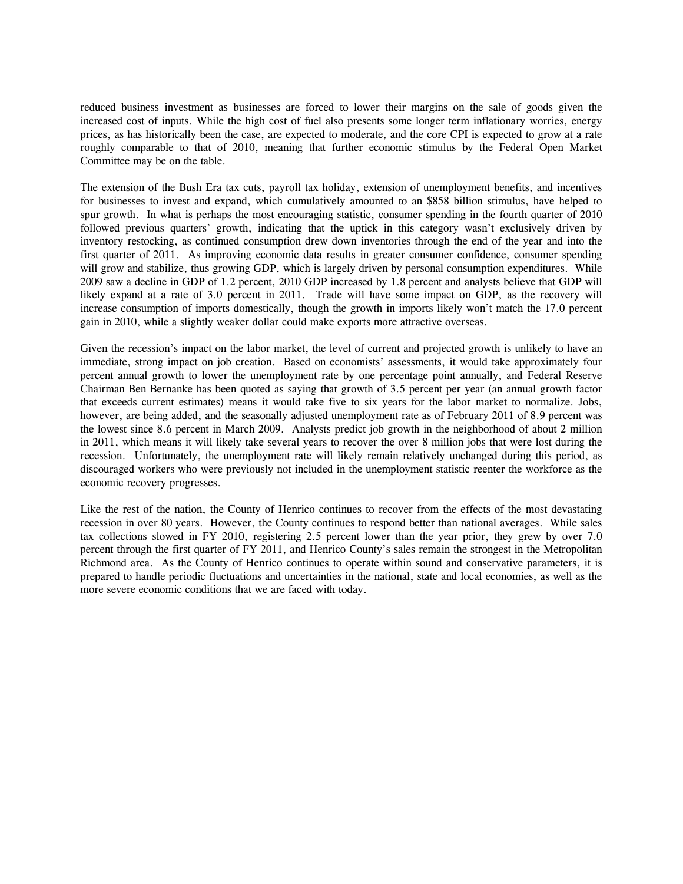reduced business investment as businesses are forced to lower their margins on the sale of goods given the increased cost of inputs. While the high cost of fuel also presents some longer term inflationary worries, energy prices, as has historically been the case, are expected to moderate, and the core CPI is expected to grow at a rate roughly comparable to that of 2010, meaning that further economic stimulus by the Federal Open Market Committee may be on the table.

The extension of the Bush Era tax cuts, payroll tax holiday, extension of unemployment benefits, and incentives for businesses to invest and expand, which cumulatively amounted to an \$858 billion stimulus, have helped to spur growth. In what is perhaps the most encouraging statistic, consumer spending in the fourth quarter of 2010 followed previous quarters' growth, indicating that the uptick in this category wasn't exclusively driven by inventory restocking, as continued consumption drew down inventories through the end of the year and into the first quarter of 2011. As improving economic data results in greater consumer confidence, consumer spending will grow and stabilize, thus growing GDP, which is largely driven by personal consumption expenditures. While 2009 saw a decline in GDP of 1.2 percent, 2010 GDP increased by 1.8 percent and analysts believe that GDP will likely expand at a rate of 3.0 percent in 2011. Trade will have some impact on GDP, as the recovery will increase consumption of imports domestically, though the growth in imports likely won't match the 17.0 percent gain in 2010, while a slightly weaker dollar could make exports more attractive overseas.

Given the recession's impact on the labor market, the level of current and projected growth is unlikely to have an immediate, strong impact on job creation. Based on economists' assessments, it would take approximately four percent annual growth to lower the unemployment rate by one percentage point annually, and Federal Reserve Chairman Ben Bernanke has been quoted as saying that growth of 3.5 percent per year (an annual growth factor that exceeds current estimates) means it would take five to six years for the labor market to normalize. Jobs, however, are being added, and the seasonally adjusted unemployment rate as of February 2011 of 8.9 percent was the lowest since 8.6 percent in March 2009. Analysts predict job growth in the neighborhood of about 2 million in 2011, which means it will likely take several years to recover the over 8 million jobs that were lost during the recession. Unfortunately, the unemployment rate will likely remain relatively unchanged during this period, as discouraged workers who were previously not included in the unemployment statistic reenter the workforce as the economic recovery progresses.

Like the rest of the nation, the County of Henrico continues to recover from the effects of the most devastating recession in over 80 years. However, the County continues to respond better than national averages. While sales tax collections slowed in FY 2010, registering 2.5 percent lower than the year prior, they grew by over 7.0 percent through the first quarter of FY 2011, and Henrico County's sales remain the strongest in the Metropolitan Richmond area. As the County of Henrico continues to operate within sound and conservative parameters, it is prepared to handle periodic fluctuations and uncertainties in the national, state and local economies, as well as the more severe economic conditions that we are faced with today.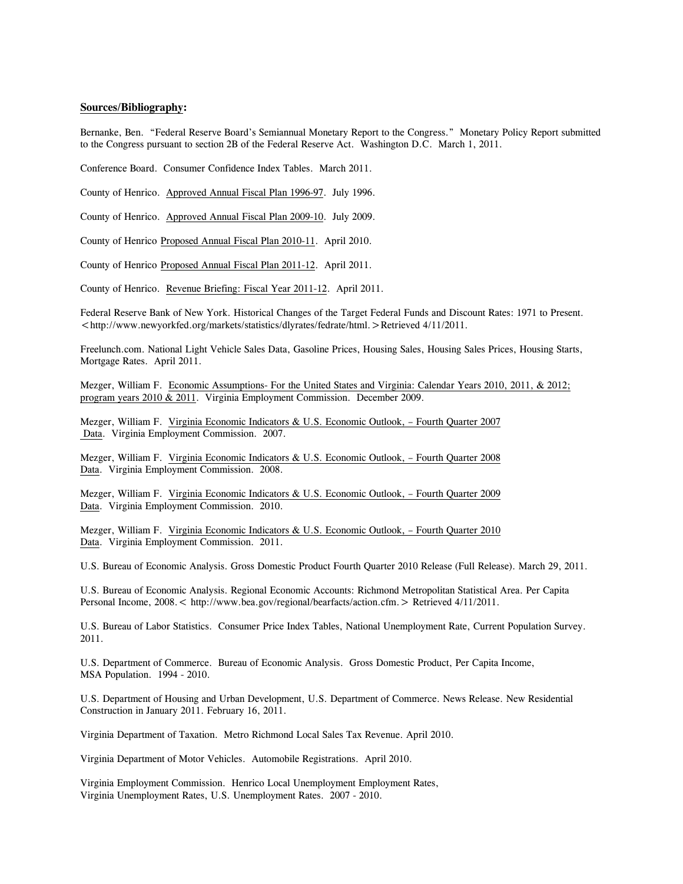### **Sources/Bibliography:**

Bernanke, Ben. "Federal Reserve Board's Semiannual Monetary Report to the Congress." Monetary Policy Report submitted to the Congress pursuant to section 2B of the Federal Reserve Act. Washington D.C. March 1, 2011.

Conference Board. Consumer Confidence Index Tables. March 2011.

County of Henrico. Approved Annual Fiscal Plan 1996-97. July 1996.

County of Henrico. Approved Annual Fiscal Plan 2009-10. July 2009.

County of Henrico Proposed Annual Fiscal Plan 2010-11. April 2010.

County of Henrico Proposed Annual Fiscal Plan 2011-12. April 2011.

County of Henrico. Revenue Briefing: Fiscal Year 2011-12. April 2011.

Federal Reserve Bank of New York. Historical Changes of the Target Federal Funds and Discount Rates: 1971 to Present. <http://www.newyorkfed.org/markets/statistics/dlyrates/fedrate/html.>Retrieved 4/11/2011.

Freelunch.com. National Light Vehicle Sales Data, Gasoline Prices, Housing Sales, Housing Sales Prices, Housing Starts, Mortgage Rates. April 2011.

Mezger, William F. Economic Assumptions- For the United States and Virginia: Calendar Years 2010, 2011, & 2012; program years 2010 & 2011. Virginia Employment Commission. December 2009.

Mezger, William F. Virginia Economic Indicators & U.S. Economic Outlook, – Fourth Quarter 2007 Data. Virginia Employment Commission. 2007.

Mezger, William F. Virginia Economic Indicators & U.S. Economic Outlook, – Fourth Quarter 2008 Data. Virginia Employment Commission. 2008.

Mezger, William F. Virginia Economic Indicators & U.S. Economic Outlook, – Fourth Quarter 2009 Data. Virginia Employment Commission. 2010.

Mezger, William F. Virginia Economic Indicators & U.S. Economic Outlook, – Fourth Quarter 2010 Data. Virginia Employment Commission. 2011.

U.S. Bureau of Economic Analysis. Gross Domestic Product Fourth Quarter 2010 Release (Full Release). March 29, 2011.

U.S. Bureau of Economic Analysis. Regional Economic Accounts: Richmond Metropolitan Statistical Area. Per Capita Personal Income, 2008.< http://www.bea.gov/regional/bearfacts/action.cfm.> Retrieved 4/11/2011.

U.S. Bureau of Labor Statistics. Consumer Price Index Tables, National Unemployment Rate, Current Population Survey. 2011.

U.S. Department of Commerce. Bureau of Economic Analysis. Gross Domestic Product, Per Capita Income, MSA Population. 1994 - 2010.

U.S. Department of Housing and Urban Development, U.S. Department of Commerce. News Release. New Residential Construction in January 2011. February 16, 2011.

Virginia Department of Taxation. Metro Richmond Local Sales Tax Revenue. April 2010.

Virginia Department of Motor Vehicles. Automobile Registrations. April 2010.

Virginia Employment Commission. Henrico Local Unemployment Employment Rates, Virginia Unemployment Rates, U.S. Unemployment Rates. 2007 - 2010.